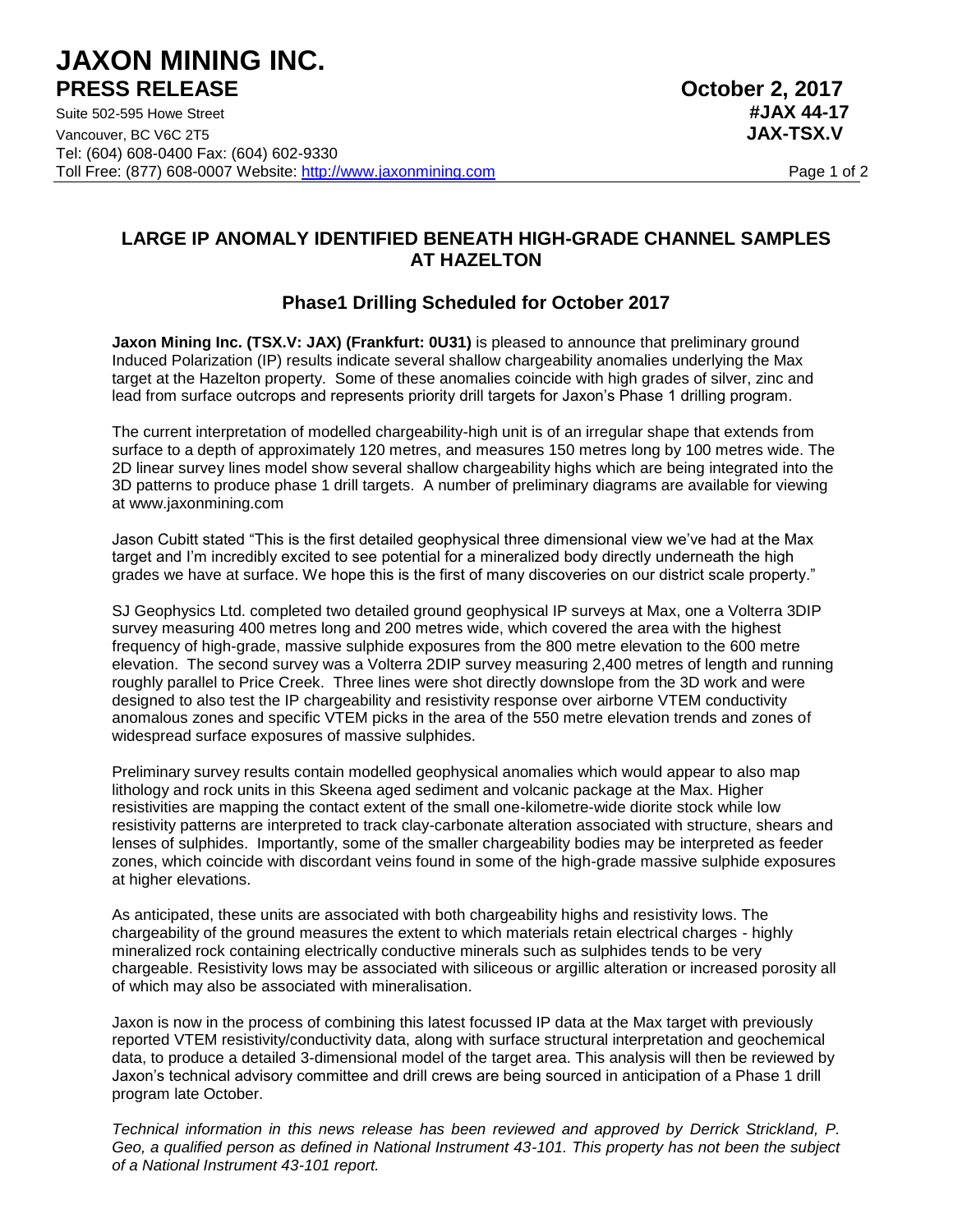# **JAXON MINING INC. PRESS RELEASE October 2, 2017**

Suite 502-595 Howe Street **#JAX 44-17** Vancouver, BC V6C 2T5 **JAX-TSX.V** Tel: (604) 608-0400 Fax: (604) 602-9330 Toll Free: (877) 608-0007 Website: http://www.jaxonmining.com Page 1 of 2

## **LARGE IP ANOMALY IDENTIFIED BENEATH HIGH-GRADE CHANNEL SAMPLES AT HAZELTON**

## **Phase1 Drilling Scheduled for October 2017**

**Jaxon Mining Inc. (TSX.V: JAX) (Frankfurt: 0U31)** is pleased to announce that preliminary ground Induced Polarization (IP) results indicate several shallow chargeability anomalies underlying the Max target at the Hazelton property. Some of these anomalies coincide with high grades of silver, zinc and lead from surface outcrops and represents priority drill targets for Jaxon's Phase 1 drilling program.

The current interpretation of modelled chargeability-high unit is of an irregular shape that extends from surface to a depth of approximately 120 metres, and measures 150 metres long by 100 metres wide. The 2D linear survey lines model show several shallow chargeability highs which are being integrated into the 3D patterns to produce phase 1 drill targets. A number of preliminary diagrams are available for viewing at www.jaxonmining.com

Jason Cubitt stated "This is the first detailed geophysical three dimensional view we've had at the Max target and I'm incredibly excited to see potential for a mineralized body directly underneath the high grades we have at surface. We hope this is the first of many discoveries on our district scale property."

SJ Geophysics Ltd. completed two detailed ground geophysical IP surveys at Max, one a Volterra 3DIP survey measuring 400 metres long and 200 metres wide, which covered the area with the highest frequency of high-grade, massive sulphide exposures from the 800 metre elevation to the 600 metre elevation. The second survey was a Volterra 2DIP survey measuring 2,400 metres of length and running roughly parallel to Price Creek. Three lines were shot directly downslope from the 3D work and were designed to also test the IP chargeability and resistivity response over airborne VTEM conductivity anomalous zones and specific VTEM picks in the area of the 550 metre elevation trends and zones of widespread surface exposures of massive sulphides.

Preliminary survey results contain modelled geophysical anomalies which would appear to also map lithology and rock units in this Skeena aged sediment and volcanic package at the Max. Higher resistivities are mapping the contact extent of the small one-kilometre-wide diorite stock while low resistivity patterns are interpreted to track clay-carbonate alteration associated with structure, shears and lenses of sulphides. Importantly, some of the smaller chargeability bodies may be interpreted as feeder zones, which coincide with discordant veins found in some of the high-grade massive sulphide exposures at higher elevations.

As anticipated, these units are associated with both chargeability highs and resistivity lows. The chargeability of the ground measures the extent to which materials retain electrical charges - highly mineralized rock containing electrically conductive minerals such as sulphides tends to be very chargeable. Resistivity lows may be associated with siliceous or argillic alteration or increased porosity all of which may also be associated with mineralisation.

Jaxon is now in the process of combining this latest focussed IP data at the Max target with previously reported VTEM resistivity/conductivity data, along with surface structural interpretation and geochemical data, to produce a detailed 3-dimensional model of the target area. This analysis will then be reviewed by Jaxon's technical advisory committee and drill crews are being sourced in anticipation of a Phase 1 drill program late October.

*Technical information in this news release has been reviewed and approved by Derrick Strickland, P. Geo, a qualified person as defined in National Instrument 43-101. This property has not been the subject of a National Instrument 43-101 report.*